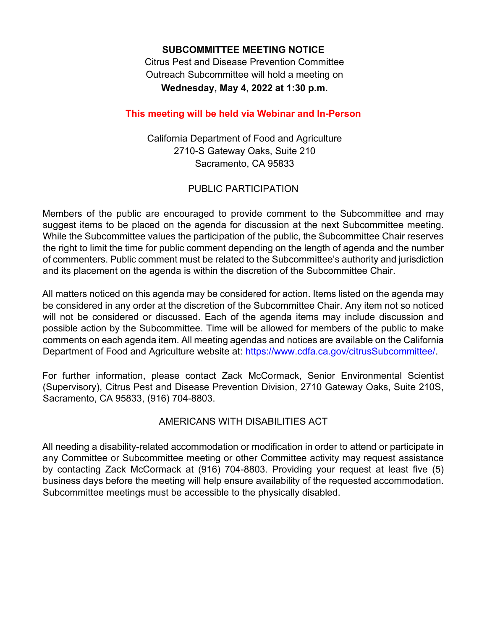#### **SUBCOMMITTEE MEETING NOTICE**

**Citrus Pest and Disease Prevention Committee Wednesday, May 4, 2022 at 1:30 p.m.**  Outreach Subcommittee will hold a meeting on

# **This meeting will be held via Webinar and In-Person**

California Department of Food and Agriculture 2710-S Gateway Oaks, Suite 210 Sacramento, CA 95833

#### PUBLIC PARTICIPATION

Members of the public are encouraged to provide comment to the Subcommittee and may suggest items to be placed on the agenda for discussion at the next Subcommittee meeting. While the Subcommittee values the participation of the public, the Subcommittee Chair reserves the right to limit the time for public comment depending on the length of agenda and the number of commenters. Public comment must be related to the Subcommittee's authority and jurisdiction and its placement on the agenda is within the discretion of the Subcommittee Chair.

 comments on each agenda item. All meeting agendas and notices are available on the California All matters noticed on this agenda may be considered for action. Items listed on the agenda may be considered in any order at the discretion of the Subcommittee Chair. Any item not so noticed will not be considered or discussed. Each of the agenda items may include discussion and possible action by the Subcommittee. Time will be allowed for members of the public to make Department of Food and Agriculture website at: [https://www.cdfa.ca.gov/citrusSubcommittee/](https://www.cdfa.ca.gov/citruscommittee).

Sacramento, CA 95833, (916) 704-8803. For further information, please contact Zack McCormack, Senior Environmental Scientist (Supervisory), Citrus Pest and Disease Prevention Division, 2710 Gateway Oaks, Suite 210S,

## AMERICANS WITH DISABILITIES ACT

 by contacting Zack McCormack at (916) 704-8803. Providing your request at least five (5) business days before the meeting will help ensure availability of the requested accommodation. All needing a disability-related accommodation or modification in order to attend or participate in any Committee or Subcommittee meeting or other Committee activity may request assistance Subcommittee meetings must be accessible to the physically disabled.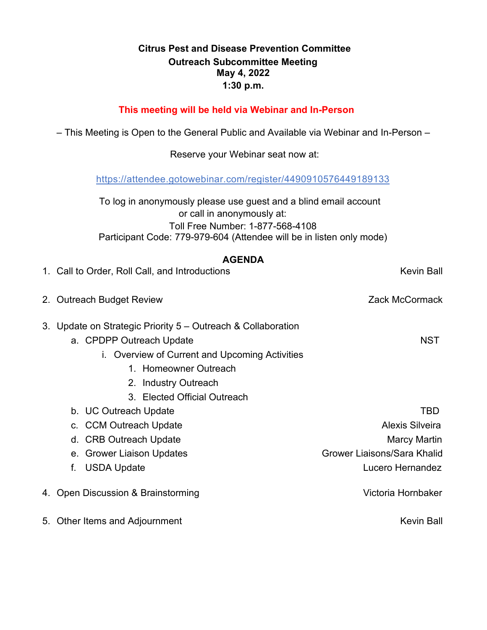## **May 4, 2022 Citrus Pest and Disease Prevention Committee Outreach Subcommittee Meeting 1:30 p.m.**

# **This meeting will be held via Webinar and In-Person**

– This Meeting is Open to the General Public and Available via Webinar and In-Person –

Reserve your Webinar seat now at:

<https://attendee.gotowebinar.com/register/4490910576449189133>

 To log in anonymously please use guest and a blind email account or call in anonymously at: Toll Free Number: 1-877-568-4108 Participant Code: 779-979-604 (Attendee will be in listen only mode)

# **AGENDA**

| 1. Call to Order, Roll Call, and Introductions                                                                                                                                              | Kevin Ball                  |
|---------------------------------------------------------------------------------------------------------------------------------------------------------------------------------------------|-----------------------------|
| 2. Outreach Budget Review                                                                                                                                                                   | Zack McCormack              |
| 3. Update on Strategic Priority 5 – Outreach & Collaboration<br>a. CPDPP Outreach Update<br>i. Overview of Current and Upcoming Activities<br>1. Homeowner Outreach<br>2. Industry Outreach | <b>NST</b>                  |
| 3. Elected Official Outreach                                                                                                                                                                |                             |
| b. UC Outreach Update                                                                                                                                                                       | TBD                         |
| c. CCM Outreach Update                                                                                                                                                                      | <b>Alexis Silveira</b>      |
| d. CRB Outreach Update                                                                                                                                                                      | Marcy Martin                |
| e. Grower Liaison Updates                                                                                                                                                                   | Grower Liaisons/Sara Khalid |
| <b>USDA Update</b><br>f.                                                                                                                                                                    | Lucero Hernandez            |
| 4. Open Discussion & Brainstorming                                                                                                                                                          | Victoria Hornbaker          |
| 5. Other Items and Adjournment                                                                                                                                                              | <b>Kevin Ball</b>           |